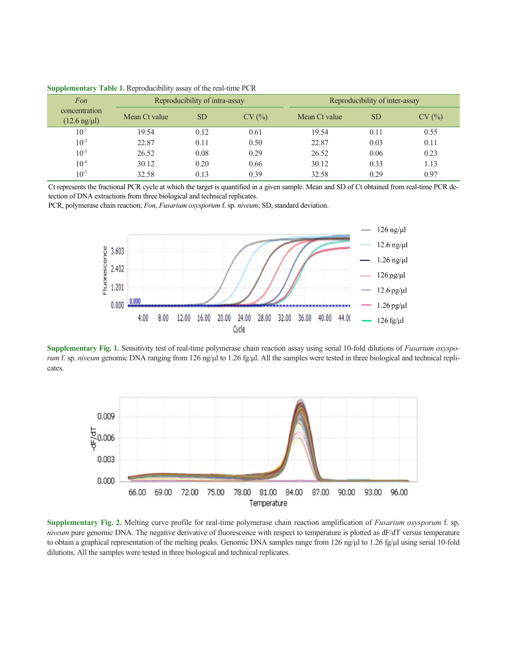| Fon                                     | Reproducibility of intra-assay |           |       | Reproducibility of inter-assay |           |       |
|-----------------------------------------|--------------------------------|-----------|-------|--------------------------------|-----------|-------|
| concentration<br>$(12.6 \text{ ng/µl})$ | Mean Ct value                  | <b>SD</b> | CV(%) | Mean Ct value                  | <b>SD</b> | CV(%) |
| $10^{-1}$                               | 19.54                          | 0.12      | 0.61  | 19.54                          | 0.11      | 0.55  |
| $10^{-2}$                               | 22.87                          | 0.11      | 0.50  | 22.87                          | 0.03      | 0.11  |
| $10^{-3}$                               | 26.52                          | 0.08      | 0.29  | 26.52                          | 0.06      | 0.23  |
| $10^{-4}$                               | 30.12                          | 0.20      | 0.66  | 30.12                          | 0.33      | 1.13  |
| $10^{-5}$                               | 32.58                          | 0.13      | 0.39  | 32.58                          | 0.29      | 0.97  |

**Supplementary Table 1.** Reproducibility assay of the real-time PCR

Ct represents the fractional PCR cycle at which the target is quantified in a given sample. Mean and SD of Ct obtained from real-time PCR detection of DNA extractions from three biological and technical replicates.

PCR, polymerase chain reaction; *Fon*, *Fusarium oxysporum* f. sp. *niveum*; SD, standard deviation.



**Supplementary Fig. 1.** Sensitivity test of real-time polymerase chain reaction assay using serial 10-fold dilutions of *Fusarium oxysporum* f. sp. *niveum* genomic DNA ranging from 126 ng/μl to 1.26 fg/μl. All the samples were tested in three biological and technical replicates.



**Supplementary Fig. 2.** Melting curve profile for real-time polymerase chain reaction amplification of *Fusarium oxysporum* f. sp. *niveum* pure genomic DNA. The negative derivative of fluorescence with respect to temperature is plotted as dF/dT versus temperature to obtain a graphical representation of the melting peaks. Genomic DNA samples range from 126 ng/μl to 1.26 fg/μl using serial 10-fold dilutions. All the samples were tested in three biological and technical replicates.